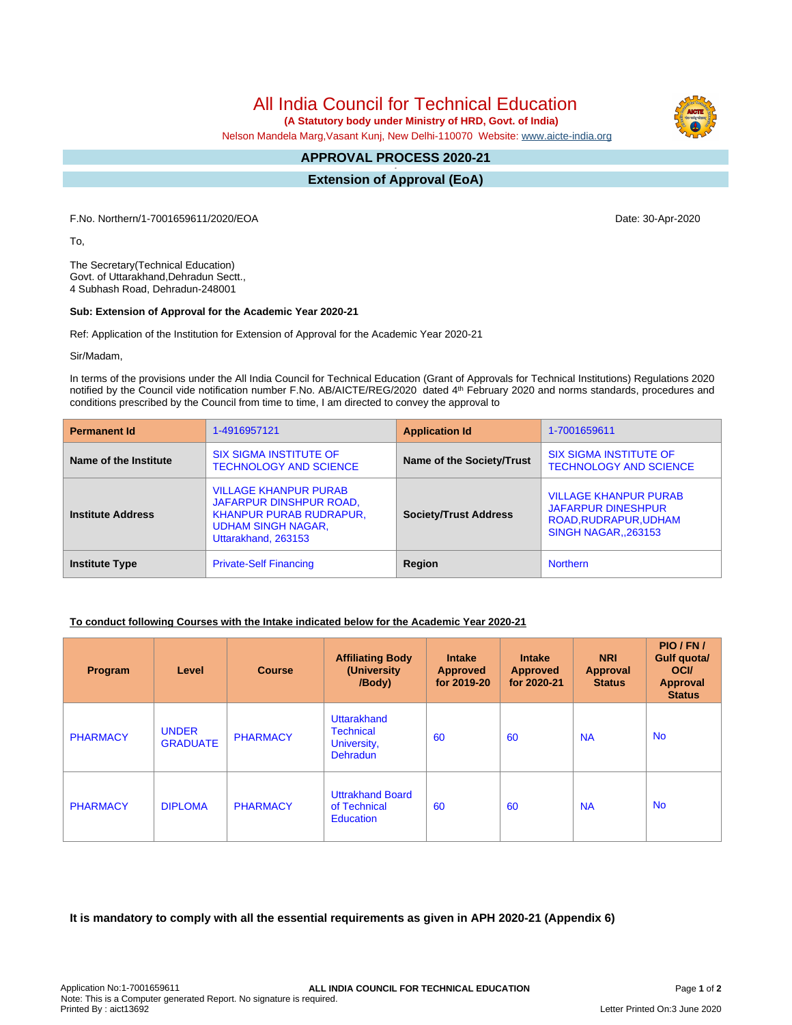All India Council for Technical Education

 **(A Statutory body under Ministry of HRD, Govt. of India)**

Nelson Mandela Marg,Vasant Kunj, New Delhi-110070 Website: [www.aicte-india.org](http://www.aicte-india.org)

#### **APPROVAL PROCESS 2020-21 -**

**Extension of Approval (EoA)**

F.No. Northern/1-7001659611/2020/EOA Date: 30-Apr-2020

To,

The Secretary(Technical Education) Govt. of Uttarakhand,Dehradun Sectt., 4 Subhash Road, Dehradun-248001

### **Sub: Extension of Approval for the Academic Year 2020-21**

Ref: Application of the Institution for Extension of Approval for the Academic Year 2020-21

Sir/Madam,

In terms of the provisions under the All India Council for Technical Education (Grant of Approvals for Technical Institutions) Regulations 2020 notified by the Council vide notification number F.No. AB/AICTE/REG/2020 dated 4<sup>th</sup> February 2020 and norms standards, procedures and conditions prescribed by the Council from time to time, I am directed to convey the approval to

| <b>Permanent Id</b>      | 1-4916957121                                                                                                                           | <b>Application Id</b>        | 1-7001659611                                                                                                     |  |
|--------------------------|----------------------------------------------------------------------------------------------------------------------------------------|------------------------------|------------------------------------------------------------------------------------------------------------------|--|
| Name of the Institute    | <b>SIX SIGMA INSTITUTE OF</b><br><b>TECHNOLOGY AND SCIENCE</b>                                                                         | Name of the Society/Trust    | <b>SIX SIGMA INSTITUTE OF</b><br><b>TECHNOLOGY AND SCIENCE</b>                                                   |  |
| <b>Institute Address</b> | <b>VILLAGE KHANPUR PURAB</b><br>JAFARPUR DINSHPUR ROAD,<br>KHANPUR PURAB RUDRAPUR,<br><b>UDHAM SINGH NAGAR,</b><br>Uttarakhand, 263153 | <b>Society/Trust Address</b> | <b>VILLAGE KHANPUR PURAB</b><br><b>JAFARPUR DINESHPUR</b><br>ROAD, RUDRAPUR, UDHAM<br><b>SINGH NAGAR, 263153</b> |  |
| <b>Institute Type</b>    | <b>Private-Self Financing</b>                                                                                                          | Region                       | <b>Northern</b>                                                                                                  |  |

## **To conduct following Courses with the Intake indicated below for the Academic Year 2020-21**

| Program         | Level                           | <b>Course</b>   | <b>Affiliating Body</b><br>(University<br>/Body)                  | <b>Intake</b><br><b>Approved</b><br>for 2019-20 | <b>Intake</b><br><b>Approved</b><br>for 2020-21 | <b>NRI</b><br>Approval<br><b>Status</b> | PIO/FN/<br>Gulf quota/<br><b>OCI</b><br><b>Approval</b><br><b>Status</b> |
|-----------------|---------------------------------|-----------------|-------------------------------------------------------------------|-------------------------------------------------|-------------------------------------------------|-----------------------------------------|--------------------------------------------------------------------------|
| <b>PHARMACY</b> | <b>UNDER</b><br><b>GRADUATE</b> | <b>PHARMACY</b> | Uttarakhand<br><b>Technical</b><br>University,<br><b>Dehradun</b> | 60                                              | 60                                              | <b>NA</b>                               | <b>No</b>                                                                |
| <b>PHARMACY</b> | <b>DIPLOMA</b>                  | <b>PHARMACY</b> | <b>Uttrakhand Board</b><br>of Technical<br><b>Education</b>       | 60                                              | 60                                              | <b>NA</b>                               | <b>No</b>                                                                |

**It is mandatory to comply with all the essential requirements as given in APH 2020-21 (Appendix 6)**